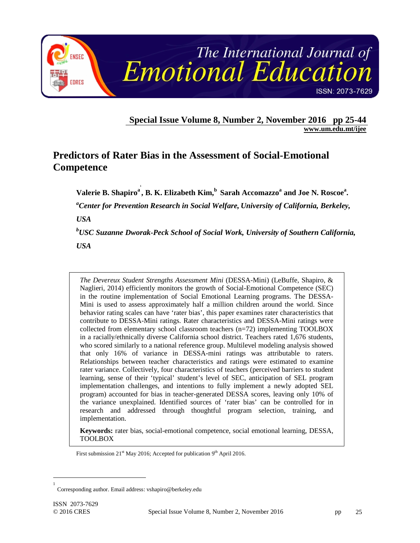

**Special Issue Volume 8, Number 2, November 2016 pp 25-44 www.um.edu.mt/ijee** 

# **Predictors of Rater Bias in the Assessment of Social-Emotional Competence**

**1**

Valerie B. Shapiro<sup>a</sup>, B. K. Elizabeth Kim, <sup>b</sup> Sarah Accomazzo<sup>a</sup> and Joe N. Roscoe<sup>a</sup>.

*<sup>a</sup>Center for Prevention Research in Social Welfare, University of California, Berkeley,* 

*USA* 

*<sup>b</sup>USC Suzanne Dworak-Peck School of Social Work, University of Southern California, USA* 

*The Devereux Student Strengths Assessment Mini* (DESSA-Mini) (LeBuffe, Shapiro, & Naglieri, 2014) efficiently monitors the growth of Social-Emotional Competence (SEC) in the routine implementation of Social Emotional Learning programs. The DESSA-Mini is used to assess approximately half a million children around the world. Since behavior rating scales can have 'rater bias', this paper examines rater characteristics that contribute to DESSA-Mini ratings. Rater characteristics and DESSA-Mini ratings were collected from elementary school classroom teachers (n=72) implementing TOOLBOX in a racially/ethnically diverse California school district. Teachers rated 1,676 students, who scored similarly to a national reference group. Multilevel modeling analysis showed that only 16% of variance in DESSA-mini ratings was attributable to raters. Relationships between teacher characteristics and ratings were estimated to examine rater variance. Collectively, four characteristics of teachers (perceived barriers to student learning, sense of their 'typical' student's level of SEC, anticipation of SEL program implementation challenges, and intentions to fully implement a newly adopted SEL program) accounted for bias in teacher-generated DESSA scores, leaving only 10% of the variance unexplained. Identified sources of 'rater bias' can be controlled for in research and addressed through thoughtful program selection, training, and implementation.

**Keywords:** rater bias, social-emotional competence, social emotional learning, DESSA, TOOLBOX

First submission  $21<sup>st</sup>$  May 2016; Accepted for publication 9<sup>th</sup> April 2016.

 $\overline{a}$ 

<sup>1</sup> Corresponding author. Email address: vshapiro@berkeley.edu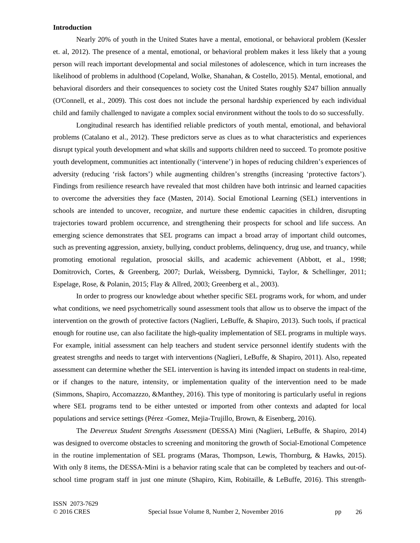### **Introduction**

Nearly 20% of youth in the United States have a mental, emotional, or behavioral problem (Kessler et. al, 2012). The presence of a mental, emotional, or behavioral problem makes it less likely that a young person will reach important developmental and social milestones of adolescence, which in turn increases the likelihood of problems in adulthood (Copeland, Wolke, Shanahan, & Costello, 2015). Mental, emotional, and behavioral disorders and their consequences to society cost the United States roughly \$247 billion annually (O'Connell, et al., 2009). This cost does not include the personal hardship experienced by each individual child and family challenged to navigate a complex social environment without the tools to do so successfully.

Longitudinal research has identified reliable predictors of youth mental, emotional, and behavioral problems (Catalano et al., 2012). These predictors serve as clues as to what characteristics and experiences disrupt typical youth development and what skills and supports children need to succeed. To promote positive youth development, communities act intentionally ('intervene') in hopes of reducing children's experiences of adversity (reducing 'risk factors') while augmenting children's strengths (increasing 'protective factors'). Findings from resilience research have revealed that most children have both intrinsic and learned capacities to overcome the adversities they face (Masten, 2014). Social Emotional Learning (SEL) interventions in schools are intended to uncover, recognize, and nurture these endemic capacities in children, disrupting trajectories toward problem occurrence, and strengthening their prospects for school and life success. An emerging science demonstrates that SEL programs can impact a broad array of important child outcomes, such as preventing aggression, anxiety, bullying, conduct problems, delinquency, drug use, and truancy, while promoting emotional regulation, prosocial skills, and academic achievement (Abbott, et al., 1998; Domitrovich, Cortes, & Greenberg, 2007; Durlak, Weissberg, Dymnicki, Taylor, & Schellinger, 2011; Espelage, Rose, & Polanin, 2015; Flay & Allred, 2003; Greenberg et al., 2003).

In order to progress our knowledge about whether specific SEL programs work, for whom, and under what conditions, we need psychometrically sound assessment tools that allow us to observe the impact of the intervention on the growth of protective factors (Naglieri, LeBuffe, & Shapiro, 2013). Such tools, if practical enough for routine use, can also facilitate the high-quality implementation of SEL programs in multiple ways. For example, initial assessment can help teachers and student service personnel identify students with the greatest strengths and needs to target with interventions (Naglieri, LeBuffe, & Shapiro, 2011). Also, repeated assessment can determine whether the SEL intervention is having its intended impact on students in real-time, or if changes to the nature, intensity, or implementation quality of the intervention need to be made (Simmons, Shapiro, Accomazzzo, &Manthey, 2016). This type of monitoring is particularly useful in regions where SEL programs tend to be either untested or imported from other contexts and adapted for local populations and service settings (Pérez -Gomez, Mejia-Trujillo, Brown, & Eisenberg, 2016).

The *Devereux Student Strengths Assessment* (DESSA) Mini (Naglieri, LeBuffe, & Shapiro, 2014) was designed to overcome obstacles to screening and monitoring the growth of Social-Emotional Competence in the routine implementation of SEL programs (Maras, Thompson, Lewis, Thornburg, & Hawks, 2015). With only 8 items, the DESSA-Mini is a behavior rating scale that can be completed by teachers and out-ofschool time program staff in just one minute (Shapiro, Kim, Robitaille, & LeBuffe, 2016). This strength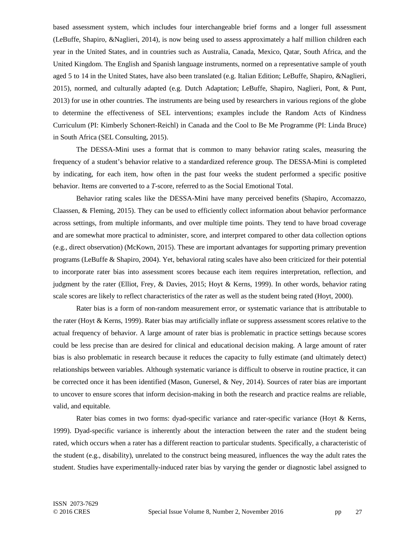based assessment system, which includes four interchangeable brief forms and a longer full assessment (LeBuffe, Shapiro, &Naglieri, 2014), is now being used to assess approximately a half million children each year in the United States, and in countries such as Australia, Canada, Mexico, Qatar, South Africa, and the United Kingdom. The English and Spanish language instruments, normed on a representative sample of youth aged 5 to 14 in the United States, have also been translated (e.g. Italian Edition; LeBuffe, Shapiro, &Naglieri, 2015), normed, and culturally adapted (e.g. Dutch Adaptation; LeBuffe, Shapiro, Naglieri, Pont, & Punt, 2013) for use in other countries. The instruments are being used by researchers in various regions of the globe to determine the effectiveness of SEL interventions; examples include the Random Acts of Kindness Curriculum (PI: Kimberly Schonert-Reichl) in Canada and the Cool to Be Me Programme (PI: Linda Bruce) in South Africa (SEL Consulting, 2015).

The DESSA-Mini uses a format that is common to many behavior rating scales, measuring the frequency of a student's behavior relative to a standardized reference group. The DESSA-Mini is completed by indicating, for each item, how often in the past four weeks the student performed a specific positive behavior. Items are converted to a *T*-score, referred to as the Social Emotional Total.

Behavior rating scales like the DESSA-Mini have many perceived benefits (Shapiro, Accomazzo, Claassen, & Fleming, 2015). They can be used to efficiently collect information about behavior performance across settings, from multiple informants, and over multiple time points. They tend to have broad coverage and are somewhat more practical to administer, score, and interpret compared to other data collection options (e.g., direct observation) (McKown, 2015). These are important advantages for supporting primary prevention programs (LeBuffe & Shapiro, 2004). Yet, behavioral rating scales have also been criticized for their potential to incorporate rater bias into assessment scores because each item requires interpretation, reflection, and judgment by the rater (Elliot, Frey, & Davies, 2015; Hoyt & Kerns, 1999). In other words, behavior rating scale scores are likely to reflect characteristics of the rater as well as the student being rated (Hoyt, 2000).

Rater bias is a form of non-random measurement error, or systematic variance that is attributable to the rater (Hoyt & Kerns, 1999). Rater bias may artificially inflate or suppress assessment scores relative to the actual frequency of behavior. A large amount of rater bias is problematic in practice settings because scores could be less precise than are desired for clinical and educational decision making. A large amount of rater bias is also problematic in research because it reduces the capacity to fully estimate (and ultimately detect) relationships between variables. Although systematic variance is difficult to observe in routine practice, it can be corrected once it has been identified (Mason, Gunersel, & Ney, 2014). Sources of rater bias are important to uncover to ensure scores that inform decision-making in both the research and practice realms are reliable, valid, and equitable.

Rater bias comes in two forms: dyad-specific variance and rater-specific variance (Hoyt & Kerns, 1999). Dyad-specific variance is inherently about the interaction between the rater and the student being rated, which occurs when a rater has a different reaction to particular students. Specifically, a characteristic of the student (e.g., disability), unrelated to the construct being measured, influences the way the adult rates the student. Studies have experimentally-induced rater bias by varying the gender or diagnostic label assigned to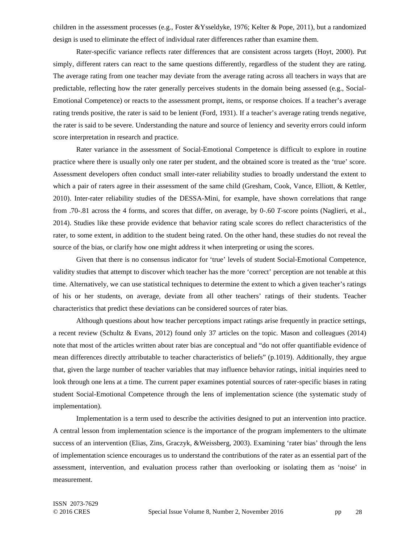children in the assessment processes (e.g., Foster &Ysseldyke, 1976; Kelter & Pope, 2011), but a randomized design is used to eliminate the effect of individual rater differences rather than examine them.

Rater-specific variance reflects rater differences that are consistent across targets (Hoyt, 2000). Put simply, different raters can react to the same questions differently, regardless of the student they are rating. The average rating from one teacher may deviate from the average rating across all teachers in ways that are predictable, reflecting how the rater generally perceives students in the domain being assessed (e.g., Social-Emotional Competence) or reacts to the assessment prompt, items, or response choices. If a teacher's average rating trends positive, the rater is said to be lenient (Ford, 1931). If a teacher's average rating trends negative, the rater is said to be severe. Understanding the nature and source of leniency and severity errors could inform score interpretation in research and practice.

Rater variance in the assessment of Social-Emotional Competence is difficult to explore in routine practice where there is usually only one rater per student, and the obtained score is treated as the 'true' score. Assessment developers often conduct small inter-rater reliability studies to broadly understand the extent to which a pair of raters agree in their assessment of the same child (Gresham, Cook, Vance, Elliott, & Kettler, 2010). Inter-rater reliability studies of the DESSA-Mini, for example, have shown correlations that range from .70-.81 across the 4 forms, and scores that differ, on average, by 0-.60 *T*-score points (Naglieri, et al., 2014). Studies like these provide evidence that behavior rating scale scores do reflect characteristics of the rater, to some extent, in addition to the student being rated. On the other hand, these studies do not reveal the source of the bias, or clarify how one might address it when interpreting or using the scores.

Given that there is no consensus indicator for 'true' levels of student Social-Emotional Competence, validity studies that attempt to discover which teacher has the more 'correct' perception are not tenable at this time. Alternatively, we can use statistical techniques to determine the extent to which a given teacher's ratings of his or her students, on average, deviate from all other teachers' ratings of their students. Teacher characteristics that predict these deviations can be considered sources of rater bias.

Although questions about how teacher perceptions impact ratings arise frequently in practice settings, a recent review (Schultz & Evans, 2012) found only 37 articles on the topic. Mason and colleagues (2014) note that most of the articles written about rater bias are conceptual and "do not offer quantifiable evidence of mean differences directly attributable to teacher characteristics of beliefs" (p.1019). Additionally, they argue that, given the large number of teacher variables that may influence behavior ratings, initial inquiries need to look through one lens at a time. The current paper examines potential sources of rater-specific biases in rating student Social-Emotional Competence through the lens of implementation science (the systematic study of implementation).

Implementation is a term used to describe the activities designed to put an intervention into practice. A central lesson from implementation science is the importance of the program implementers to the ultimate success of an intervention (Elias, Zins, Graczyk, &Weissberg, 2003). Examining 'rater bias' through the lens of implementation science encourages us to understand the contributions of the rater as an essential part of the assessment, intervention, and evaluation process rather than overlooking or isolating them as 'noise' in measurement.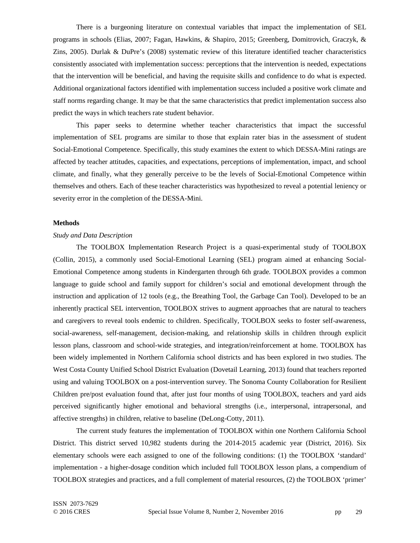There is a burgeoning literature on contextual variables that impact the implementation of SEL programs in schools (Elias, 2007; Fagan, Hawkins, & Shapiro, 2015; Greenberg, Domitrovich, Graczyk, & Zins, 2005). Durlak & DuPre's (2008) systematic review of this literature identified teacher characteristics consistently associated with implementation success: perceptions that the intervention is needed, expectations that the intervention will be beneficial, and having the requisite skills and confidence to do what is expected. Additional organizational factors identified with implementation success included a positive work climate and staff norms regarding change. It may be that the same characteristics that predict implementation success also predict the ways in which teachers rate student behavior.

This paper seeks to determine whether teacher characteristics that impact the successful implementation of SEL programs are similar to those that explain rater bias in the assessment of student Social-Emotional Competence. Specifically, this study examines the extent to which DESSA-Mini ratings are affected by teacher attitudes, capacities, and expectations, perceptions of implementation, impact, and school climate, and finally, what they generally perceive to be the levels of Social-Emotional Competence within themselves and others. Each of these teacher characteristics was hypothesized to reveal a potential leniency or severity error in the completion of the DESSA-Mini.

## **Methods**

### *Study and Data Description*

The TOOLBOX Implementation Research Project is a quasi-experimental study of TOOLBOX (Collin, 2015), a commonly used Social-Emotional Learning (SEL) program aimed at enhancing Social-Emotional Competence among students in Kindergarten through 6th grade. TOOLBOX provides a common language to guide school and family support for children's social and emotional development through the instruction and application of 12 tools (e.g., the Breathing Tool, the Garbage Can Tool). Developed to be an inherently practical SEL intervention, TOOLBOX strives to augment approaches that are natural to teachers and caregivers to reveal tools endemic to children. Specifically, TOOLBOX seeks to foster self-awareness, social-awareness, self-management, decision-making, and relationship skills in children through explicit lesson plans, classroom and school-wide strategies, and integration/reinforcement at home. TOOLBOX has been widely implemented in Northern California school districts and has been explored in two studies. The West Costa County Unified School District Evaluation (Dovetail Learning, 2013) found that teachers reported using and valuing TOOLBOX on a post-intervention survey. The Sonoma County Collaboration for Resilient Children pre/post evaluation found that, after just four months of using TOOLBOX, teachers and yard aids perceived significantly higher emotional and behavioral strengths (i.e., interpersonal, intrapersonal, and affective strengths) in children, relative to baseline (DeLong-Cotty, 2011).

The current study features the implementation of TOOLBOX within one Northern California School District. This district served 10,982 students during the 2014-2015 academic year (District, 2016). Six elementary schools were each assigned to one of the following conditions: (1) the TOOLBOX 'standard' implementation - a higher-dosage condition which included full TOOLBOX lesson plans, a compendium of TOOLBOX strategies and practices, and a full complement of material resources, (2) the TOOLBOX 'primer'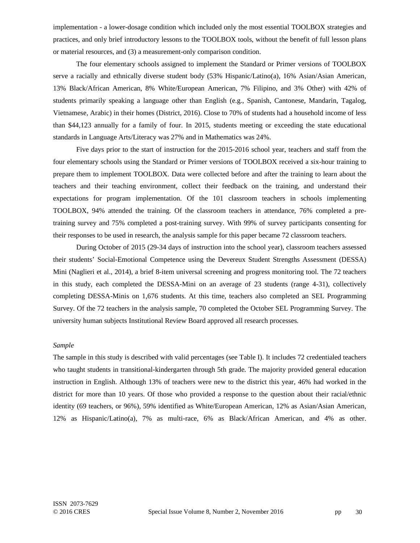implementation - a lower-dosage condition which included only the most essential TOOLBOX strategies and practices, and only brief introductory lessons to the TOOLBOX tools, without the benefit of full lesson plans or material resources, and (3) a measurement-only comparison condition.

The four elementary schools assigned to implement the Standard or Primer versions of TOOLBOX serve a racially and ethnically diverse student body (53% Hispanic/Latino(a), 16% Asian/Asian American, 13% Black/African American, 8% White/European American, 7% Filipino, and 3% Other) with 42% of students primarily speaking a language other than English (e.g., Spanish, Cantonese, Mandarin, Tagalog, Vietnamese, Arabic) in their homes (District, 2016). Close to 70% of students had a household income of less than \$44,123 annually for a family of four. In 2015, students meeting or exceeding the state educational standards in Language Arts/Literacy was 27% and in Mathematics was 24%.

Five days prior to the start of instruction for the 2015-2016 school year, teachers and staff from the four elementary schools using the Standard or Primer versions of TOOLBOX received a six-hour training to prepare them to implement TOOLBOX. Data were collected before and after the training to learn about the teachers and their teaching environment, collect their feedback on the training, and understand their expectations for program implementation. Of the 101 classroom teachers in schools implementing TOOLBOX, 94% attended the training. Of the classroom teachers in attendance, 76% completed a pretraining survey and 75% completed a post-training survey. With 99% of survey participants consenting for their responses to be used in research, the analysis sample for this paper became 72 classroom teachers.

During October of 2015 (29-34 days of instruction into the school year), classroom teachers assessed their students' Social-Emotional Competence using the Devereux Student Strengths Assessment (DESSA) Mini (Naglieri et al., 2014), a brief 8-item universal screening and progress monitoring tool. The 72 teachers in this study, each completed the DESSA-Mini on an average of 23 students (range 4-31), collectively completing DESSA-Minis on 1,676 students. At this time, teachers also completed an SEL Programming Survey. Of the 72 teachers in the analysis sample, 70 completed the October SEL Programming Survey. The university human subjects Institutional Review Board approved all research processes.

#### *Sample*

The sample in this study is described with valid percentages (see Table I). It includes 72 credentialed teachers who taught students in transitional-kindergarten through 5th grade. The majority provided general education instruction in English. Although 13% of teachers were new to the district this year, 46% had worked in the district for more than 10 years. Of those who provided a response to the question about their racial/ethnic identity (69 teachers, or 96%), 59% identified as White/European American, 12% as Asian/Asian American, 12% as Hispanic/Latino(a), 7% as multi-race, 6% as Black/African American, and 4% as other.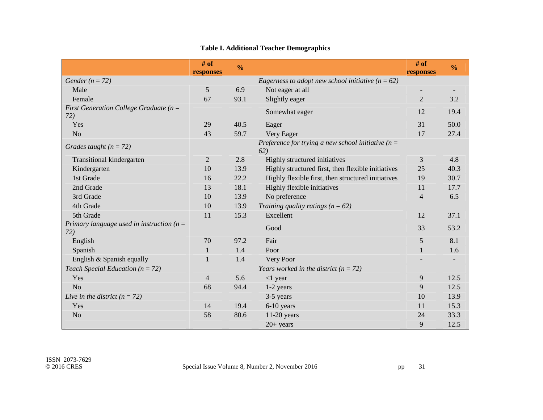|                                                     | # of<br>responses | $\frac{0}{0}$ |                                                              | # of<br>responses        | $\frac{0}{0}$ |
|-----------------------------------------------------|-------------------|---------------|--------------------------------------------------------------|--------------------------|---------------|
| Gender ( $n = 72$ )                                 |                   |               | Eagerness to adopt new school initiative ( $n = 62$ )        |                          |               |
| Male                                                | 5                 | 6.9           | Not eager at all                                             | $\overline{\phantom{a}}$ |               |
| Female                                              | 67                | 93.1          | Slightly eager                                               | $\overline{2}$           | 3.2           |
| First Generation College Graduate ( $n =$<br>72)    |                   |               | Somewhat eager                                               | 12                       | 19.4          |
| Yes                                                 | 29                | 40.5          | Eager                                                        | 31                       | 50.0          |
| N <sub>o</sub>                                      | 43                | 59.7          | Very Eager                                                   | 17                       | 27.4          |
| Grades taught $(n = 72)$                            |                   |               | Preference for trying a new school initiative ( $n =$<br>62) |                          |               |
| Transitional kindergarten                           | $\mathbf{2}$      | 2.8           | Highly structured initiatives                                | 3                        | 4.8           |
| Kindergarten                                        | 10                | 13.9          | Highly structured first, then flexible initiatives           | 25                       | 40.3          |
| 1st Grade                                           | 16                | 22.2          | Highly flexible first, then structured initiatives           | 19                       | 30.7          |
| 2nd Grade                                           | 13                | 18.1          | Highly flexible initiatives                                  | 11                       | 17.7          |
| 3rd Grade                                           | 10                | 13.9          | No preference                                                | $\overline{4}$           | 6.5           |
| 4th Grade                                           | 10                | 13.9          | Training quality ratings ( $n = 62$ )                        |                          |               |
| 5th Grade                                           | 11                | 15.3          | Excellent                                                    | 12                       | 37.1          |
| Primary language used in instruction ( $n =$<br>72) |                   |               | Good                                                         | 33                       | 53.2          |
| English                                             | 70                | 97.2          | Fair                                                         | 5                        | 8.1           |
| Spanish                                             | 1                 | 1.4           | Poor                                                         | $\mathbf{1}$             | 1.6           |
| English & Spanish equally                           |                   | 1.4           | Very Poor                                                    |                          |               |
| Teach Special Education ( $n = 72$ )                |                   |               | Years worked in the district ( $n = 72$ )                    |                          |               |
| Yes                                                 | 4                 | 5.6           | $<$ 1 year                                                   | 9                        | 12.5          |
| No                                                  | 68                | 94.4          | 1-2 years                                                    | 9                        | 12.5          |
| Live in the district $(n = 72)$                     |                   |               | 3-5 years                                                    | 10                       | 13.9          |
| Yes                                                 | 14                | 19.4          | 6-10 years                                                   | 11                       | 15.3          |
| N <sub>o</sub>                                      | 58                | 80.6          | $11-20$ years                                                | 24                       | 33.3          |
|                                                     |                   |               | $20+ years$                                                  | 9                        | 12.5          |

# **Table I. Additional Teacher Demographics**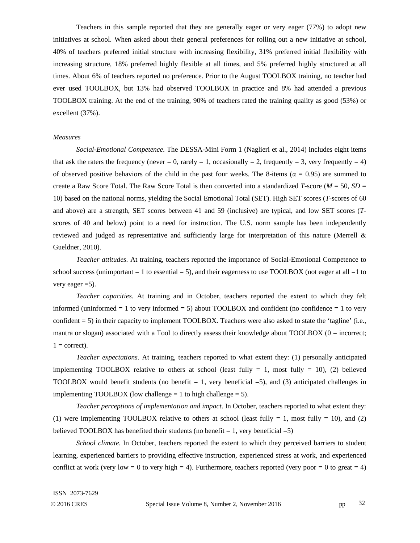Teachers in this sample reported that they are generally eager or very eager (77%) to adopt new initiatives at school. When asked about their general preferences for rolling out a new initiative at school, 40% of teachers preferred initial structure with increasing flexibility, 31% preferred initial flexibility with increasing structure, 18% preferred highly flexible at all times, and 5% preferred highly structured at all times. About 6% of teachers reported no preference. Prior to the August TOOLBOX training, no teacher had ever used TOOLBOX, but 13% had observed TOOLBOX in practice and 8% had attended a previous TOOLBOX training. At the end of the training, 90% of teachers rated the training quality as good (53%) or excellent (37%).

### *Measures*

*Social-Emotional Competence*. The DESSA-Mini Form 1 (Naglieri et al., 2014) includes eight items that ask the raters the frequency (never = 0, rarely = 1, occasionally = 2, frequently = 3, very frequently = 4) of observed positive behaviors of the child in the past four weeks. The 8-items ( $\alpha = 0.95$ ) are summed to create a Raw Score Total. The Raw Score Total is then converted into a standardized *T*-score (*M* = 50, *SD* = 10) based on the national norms, yielding the Social Emotional Total (SET). High SET scores (*T*-scores of 60 and above) are a strength, SET scores between 41 and 59 (inclusive) are typical, and low SET scores (*T*scores of 40 and below) point to a need for instruction. The U.S. norm sample has been independently reviewed and judged as representative and sufficiently large for interpretation of this nature (Merrell & Gueldner, 2010).

*Teacher attitudes*. At training, teachers reported the importance of Social-Emotional Competence to school success (unimportant  $= 1$  to essential  $= 5$ ), and their eagerness to use TOOLBOX (not eager at all  $= 1$  to very eager  $=5$ ).

*Teacher capacities*. At training and in October, teachers reported the extent to which they felt informed (uninformed  $= 1$  to very informed  $= 5$ ) about TOOLBOX and confident (no confidence  $= 1$  to very confident = 5) in their capacity to implement TOOLBOX. Teachers were also asked to state the 'tagline' (i.e., mantra or slogan) associated with a Tool to directly assess their knowledge about TOOLBOX (0 = incorrect;  $1 =$  correct).

*Teacher expectations*. At training, teachers reported to what extent they: (1) personally anticipated implementing TOOLBOX relative to others at school (least fully  $= 1$ , most fully  $= 10$ ), (2) believed TOOLBOX would benefit students (no benefit  $= 1$ , very beneficial  $= 5$ ), and (3) anticipated challenges in implementing TOOLBOX (low challenge  $= 1$  to high challenge  $= 5$ ).

*Teacher perceptions of implementation and impact*. In October, teachers reported to what extent they: (1) were implementing TOOLBOX relative to others at school (least fully  $= 1$ , most fully  $= 10$ ), and (2) believed TOOLBOX has benefited their students (no benefit  $= 1$ , very beneficial  $= 5$ )

*School climate*. In October, teachers reported the extent to which they perceived barriers to student learning, experienced barriers to providing effective instruction, experienced stress at work, and experienced conflict at work (very low = 0 to very high = 4). Furthermore, teachers reported (very poor = 0 to great = 4)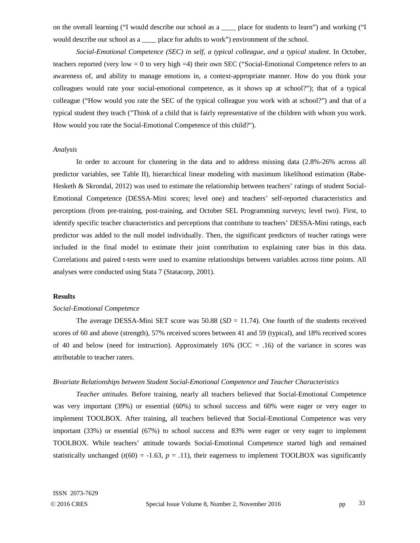on the overall learning ("I would describe our school as a \_\_\_\_ place for students to learn") and working ("I would describe our school as a \_\_\_\_ place for adults to work") environment of the school.

*Social-Emotional Competence (SEC) in self, a typical colleague, and a typical student.* In October, teachers reported (very low  $= 0$  to very high  $= 4$ ) their own SEC ("Social-Emotional Competence refers to an awareness of, and ability to manage emotions in, a context-appropriate manner. How do you think your colleagues would rate your social-emotional competence, as it shows up at school?"); that of a typical colleague ("How would you rate the SEC of the typical colleague you work with at school?") and that of a typical student they teach ("Think of a child that is fairly representative of the children with whom you work. How would you rate the Social-Emotional Competence of this child?").

### *Analysis*

In order to account for clustering in the data and to address missing data (2.8%-26% across all predictor variables, see Table II), hierarchical linear modeling with maximum likelihood estimation (Rabe-Hesketh & Skrondal, 2012) was used to estimate the relationship between teachers' ratings of student Social-Emotional Competence (DESSA-Mini scores; level one) and teachers' self-reported characteristics and perceptions (from pre-training, post-training, and October SEL Programming surveys; level two). First, to identify specific teacher characteristics and perceptions that contribute to teachers' DESSA-Mini ratings, each predictor was added to the null model individually. Then, the significant predictors of teacher ratings were included in the final model to estimate their joint contribution to explaining rater bias in this data. Correlations and paired t-tests were used to examine relationships between variables across time points. All analyses were conducted using Stata 7 (Statacorp, 2001).

### **Results**

### *Social-Emotional Competence*

The average DESSA-Mini SET score was 50.88 (*SD* = 11.74). One fourth of the students received scores of 60 and above (strength), 57% received scores between 41 and 59 (typical), and 18% received scores of 40 and below (need for instruction). Approximately 16% (ICC  $=$  .16) of the variance in scores was attributable to teacher raters.

### *Bivariate Relationships between Student Social-Emotional Competence and Teacher Characteristics*

*Teacher attitudes*. Before training, nearly all teachers believed that Social-Emotional Competence was very important (39%) or essential (60%) to school success and 60% were eager or very eager to implement TOOLBOX. After training, all teachers believed that Social-Emotional Competence was very important (33%) or essential (67%) to school success and 83% were eager or very eager to implement TOOLBOX. While teachers' attitude towards Social-Emotional Competence started high and remained statistically unchanged  $(t(60) = -1.63, p = .11)$ , their eagerness to implement TOOLBOX was significantly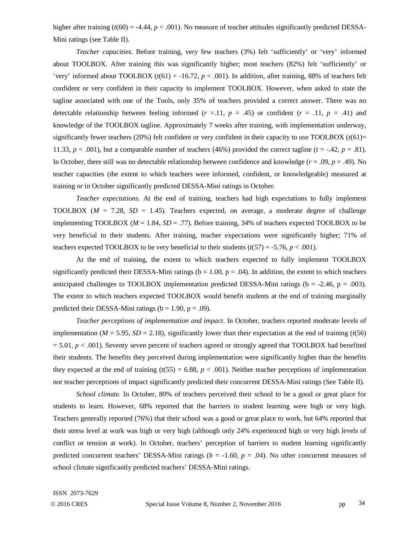higher after training  $(t(60) = -4.44, p < .001)$ . No measure of teacher attitudes significantly predicted DESSA-Mini ratings (see Table II).

*Teacher capacities*. Before training, very few teachers (3%) felt 'sufficiently' or 'very' informed about TOOLBOX. After training this was significantly higher; most teachers (82%) felt 'sufficiently' or 'very' informed about TOOLBOX  $(t(61) = -16.72, p < .001)$ . In addition, after training, 88% of teachers felt confident or very confident in their capacity to implement TOOLBOX. However, when asked to state the tagline associated with one of the Tools, only 35% of teachers provided a correct answer. There was no detectable relationship between feeling informed  $(r = .11, p = .45)$  or confident  $(r = .11, p = .41)$  and knowledge of the TOOLBOX tagline. Approximately 7 weeks after training, with implementation underway, significantly fewer teachers (20%) felt confident or very confident in their capacity to use  $TOOLBOX (t(61)=$ 11.33,  $p < .001$ ), but a comparable number of teachers (46%) provided the correct tagline ( $t = .42$ ,  $p = .81$ ). In October, there still was no detectable relationship between confidence and knowledge  $(r = .09, p = .49)$ . No teacher capacities (the extent to which teachers were informed, confident, or knowledgeable) measured at training or in October significantly predicted DESSA-Mini ratings in October.

*Teacher expectations*. At the end of training, teachers had high expectations to fully implement TOOLBOX ( $M = 7.28$ ,  $SD = 1.45$ ). Teachers expected, on average, a moderate degree of challenge implementing TOOLBOX (*M* = 1.84, *SD* = .77). Before training, 34% of teachers expected TOOLBOX to be very beneficial to their students. After training, teacher expectations were significantly higher; 71% of teachers expected TOOLBOX to be very beneficial to their students  $(t(57) = -5.76, p < .001)$ .

At the end of training, the extent to which teachers expected to fully implement TOOLBOX significantly predicted their DESSA-Mini ratings ( $b = 1.00$ ,  $p = .04$ ). In addition, the extent to which teachers anticipated challenges to TOOLBOX implementation predicted DESSA-Mini ratings ( $b = -2.46$ ,  $p = .003$ ). The extent to which teachers expected TOOLBOX would benefit students at the end of training marginally predicted their DESSA-Mini ratings ( $b = 1.90$ ,  $p = .09$ ).

*Teacher perceptions of implementation and impact*. In October, teachers reported moderate levels of implementation ( $M = 5.95$ ,  $SD = 2.18$ ), significantly lower than their expectation at the end of training ( $t(56)$ )  $= 5.01, p < .001$ ). Seventy seven percent of teachers agreed or strongly agreed that TOOLBOX had benefited their students. The benefits they perceived during implementation were significantly higher than the benefits they expected at the end of training  $(t(55) = 6.88, p < .001)$ . Neither teacher perceptions of implementation nor teacher perceptions of impact significantly predicted their concurrent DESSA-Mini ratings (See Table II).

*School climate.* In October, 80% of teachers perceived their school to be a good or great place for students to learn. However, 68% reported that the barriers to student learning were high or very high. Teachers generally reported (76%) that their school was a good or great place to work, but 64% reported that their stress level at work was high or very high (although only 24% experienced high or very high levels of conflict or tension at work). In October, teachers' perception of barriers to student learning significantly predicted concurrent teachers' DESSA-Mini ratings ( $b = -1.60$ ,  $p = .04$ ). No other concurrent measures of school climate significantly predicted teachers' DESSA-Mini ratings.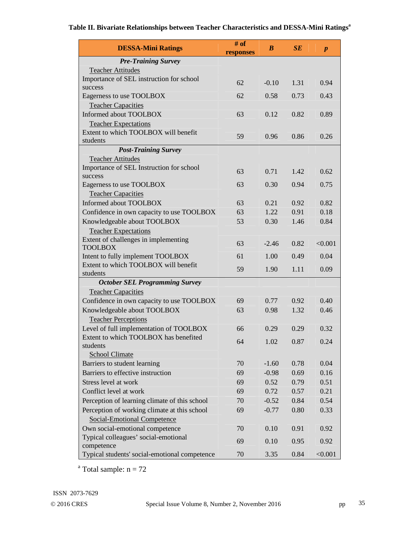# **Table II. Bivariate Relationships between Teacher Characteristics and DESSA-Mini Ratings<sup>a</sup>**

| <b>DESSA-Mini Ratings</b>                                                | # of<br>responses | $\boldsymbol{B}$ | SE   | $\boldsymbol{p}$ |  |  |  |  |
|--------------------------------------------------------------------------|-------------------|------------------|------|------------------|--|--|--|--|
| <b>Pre-Training Survey</b>                                               |                   |                  |      |                  |  |  |  |  |
| <b>Teacher Attitudes</b>                                                 |                   |                  |      |                  |  |  |  |  |
| Importance of SEL instruction for school                                 | 62                | $-0.10$          | 1.31 | 0.94             |  |  |  |  |
| success                                                                  |                   |                  |      |                  |  |  |  |  |
| Eagerness to use TOOLBOX                                                 | 62                | 0.58             | 0.73 | 0.43             |  |  |  |  |
| <b>Teacher Capacities</b>                                                |                   |                  |      |                  |  |  |  |  |
| Informed about TOOLBOX                                                   | 63                | 0.12             | 0.82 | 0.89             |  |  |  |  |
| <b>Teacher Expectations</b>                                              |                   |                  |      |                  |  |  |  |  |
| Extent to which TOOLBOX will benefit<br>students                         | 59                | 0.96             | 0.86 | 0.26             |  |  |  |  |
| <b>Post-Training Survey</b>                                              |                   |                  |      |                  |  |  |  |  |
| <b>Teacher Attitudes</b>                                                 |                   |                  |      |                  |  |  |  |  |
| Importance of SEL Instruction for school                                 |                   |                  |      |                  |  |  |  |  |
| success                                                                  | 63                | 0.71             | 1.42 | 0.62             |  |  |  |  |
| Eagerness to use TOOLBOX                                                 | 63                | 0.30             | 0.94 | 0.75             |  |  |  |  |
| <b>Teacher Capacities</b>                                                |                   |                  |      |                  |  |  |  |  |
| Informed about TOOLBOX                                                   | 63                | 0.21             | 0.92 | 0.82             |  |  |  |  |
| Confidence in own capacity to use TOOLBOX                                | 63                | 1.22             | 0.91 | 0.18             |  |  |  |  |
| Knowledgeable about TOOLBOX                                              | 53                | 0.30             | 1.46 | 0.84             |  |  |  |  |
| <b>Teacher Expectations</b>                                              |                   |                  |      |                  |  |  |  |  |
| Extent of challenges in implementing                                     | 63                | $-2.46$          | 0.82 | < 0.001          |  |  |  |  |
| <b>TOOLBOX</b>                                                           |                   |                  |      |                  |  |  |  |  |
| Intent to fully implement TOOLBOX                                        | 61                | 1.00             | 0.49 | 0.04             |  |  |  |  |
| Extent to which TOOLBOX will benefit                                     | 59                | 1.90             | 1.11 | 0.09             |  |  |  |  |
| students                                                                 |                   |                  |      |                  |  |  |  |  |
| <b>October SEL Programming Survey</b><br><b>Teacher Capacities</b>       |                   |                  |      |                  |  |  |  |  |
|                                                                          | 69                | 0.77             | 0.92 | 0.40             |  |  |  |  |
| Confidence in own capacity to use TOOLBOX<br>Knowledgeable about TOOLBOX | 63                | 0.98             | 1.32 | 0.46             |  |  |  |  |
| <b>Teacher Perceptions</b>                                               |                   |                  |      |                  |  |  |  |  |
| Level of full implementation of TOOLBOX                                  | 66                | 0.29             | 0.29 | 0.32             |  |  |  |  |
| Extent to which TOOLBOX has benefited                                    |                   |                  |      |                  |  |  |  |  |
| students                                                                 | 64                | 1.02             | 0.87 | 0.24             |  |  |  |  |
| <b>School Climate</b>                                                    |                   |                  |      |                  |  |  |  |  |
| Barriers to student learning                                             | 70                | $-1.60$          | 0.78 | 0.04             |  |  |  |  |
| Barriers to effective instruction                                        | 69                | $-0.98$          | 0.69 | 0.16             |  |  |  |  |
| Stress level at work                                                     | 69                | 0.52             | 0.79 | 0.51             |  |  |  |  |
| Conflict level at work                                                   | 69                | 0.72             | 0.57 | 0.21             |  |  |  |  |
| Perception of learning climate of this school                            | 70                | $-0.52$          | 0.84 | 0.54             |  |  |  |  |
| Perception of working climate at this school                             | 69                | $-0.77$          | 0.80 | 0.33             |  |  |  |  |
| <b>Social-Emotional Competence</b>                                       |                   |                  |      |                  |  |  |  |  |
| Own social-emotional competence                                          | 70                | 0.10             | 0.91 | 0.92             |  |  |  |  |
| Typical colleagues' social-emotional                                     | 69                | 0.10             | 0.95 | 0.92             |  |  |  |  |
| competence                                                               |                   |                  |      |                  |  |  |  |  |
| Typical students' social-emotional competence                            | 70                | 3.35             | 0.84 | < 0.001          |  |  |  |  |

<sup>a</sup> Total sample:  $n = 72$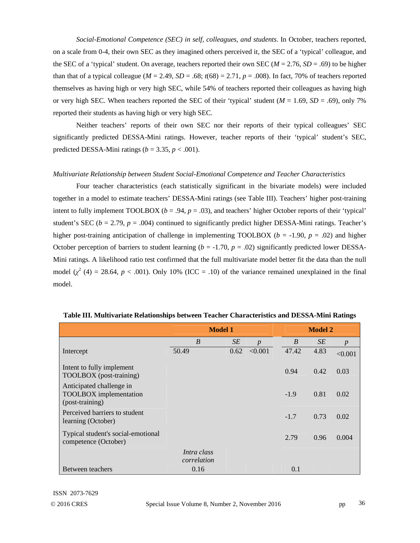*Social-Emotional Competence (SEC) in self, colleagues, and students*. In October, teachers reported, on a scale from 0-4, their own SEC as they imagined others perceived it, the SEC of a 'typical' colleague, and the SEC of a 'typical' student. On average, teachers reported their own SEC ( $M = 2.76$ ,  $SD = .69$ ) to be higher than that of a typical colleague ( $M = 2.49$ ,  $SD = .68$ ;  $t(68) = 2.71$ ,  $p = .008$ ). In fact, 70% of teachers reported themselves as having high or very high SEC, while 54% of teachers reported their colleagues as having high or very high SEC. When teachers reported the SEC of their 'typical' student  $(M = 1.69, SD = .69)$ , only 7% reported their students as having high or very high SEC.

Neither teachers' reports of their own SEC nor their reports of their typical colleagues' SEC significantly predicted DESSA-Mini ratings. However, teacher reports of their 'typical' student's SEC, predicted DESSA-Mini ratings ( $b = 3.35$ ,  $p < .001$ ).

### *Multivariate Relationship between Student Social-Emotional Competence and Teacher Characteristics*

Four teacher characteristics (each statistically significant in the bivariate models) were included together in a model to estimate teachers' DESSA-Mini ratings (see Table III). Teachers' higher post-training intent to fully implement TOOLBOX ( $b = .94$ ,  $p = .03$ ), and teachers' higher October reports of their 'typical' student's SEC ( $b = 2.79$ ,  $p = .004$ ) continued to significantly predict higher DESSA-Mini ratings. Teacher's higher post-training anticipation of challenge in implementing TOOLBOX ( $b = -1.90$ ,  $p = .02$ ) and higher October perception of barriers to student learning  $(b = -1.70, p = .02)$  significantly predicted lower DESSA-Mini ratings. A likelihood ratio test confirmed that the full multivariate model better fit the data than the null model  $(\chi^2 (4) = 28.64, p < .001)$ . Only 10% (ICC = .10) of the variance remained unexplained in the final model.

|                                                                              | <b>Model 1</b>             |           |                  |        | <b>Model 2</b> |                  |  |
|------------------------------------------------------------------------------|----------------------------|-----------|------------------|--------|----------------|------------------|--|
|                                                                              | $\boldsymbol{B}$           | <b>SE</b> | $\boldsymbol{p}$ | B      | <b>SE</b>      | $\boldsymbol{p}$ |  |
| Intercept                                                                    | 50.49                      | 0.62      | < 0.001          | 47.42  | 4.83           | < 0.001          |  |
| Intent to fully implement<br>TOOLBOX (post-training)                         |                            |           |                  | 0.94   | 0.42           | 0.03             |  |
| Anticipated challenge in<br><b>TOOLBOX</b> implementation<br>(post-training) |                            |           |                  | $-1.9$ | 0.81           | 0.02             |  |
| Perceived barriers to student<br>learning (October)                          |                            |           |                  | $-1.7$ | 0.73           | 0.02             |  |
| Typical student's social-emotional<br>competence (October)                   |                            |           |                  | 2.79   | 0.96           | 0.004            |  |
|                                                                              | Intra class<br>correlation |           |                  |        |                |                  |  |
| Between teachers                                                             | 0.16                       |           |                  | 0.1    |                |                  |  |

#### **Table III. Multivariate Relationships between Teacher Characteristics and DESSA-Mini Ratings**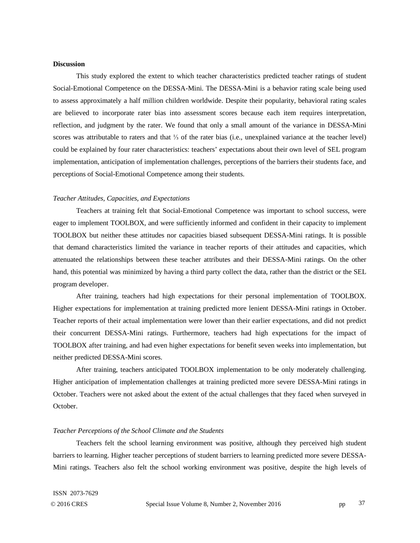# **Discussion**

This study explored the extent to which teacher characteristics predicted teacher ratings of student Social-Emotional Competence on the DESSA-Mini. The DESSA-Mini is a behavior rating scale being used to assess approximately a half million children worldwide. Despite their popularity, behavioral rating scales are believed to incorporate rater bias into assessment scores because each item requires interpretation, reflection, and judgment by the rater. We found that only a small amount of the variance in DESSA-Mini scores was attributable to raters and that <sup>1</sup>/<sub>3</sub> of the rater bias (i.e., unexplained variance at the teacher level) could be explained by four rater characteristics: teachers' expectations about their own level of SEL program implementation, anticipation of implementation challenges, perceptions of the barriers their students face, and perceptions of Social-Emotional Competence among their students.

### *Teacher Attitudes, Capacities, and Expectations*

Teachers at training felt that Social-Emotional Competence was important to school success, were eager to implement TOOLBOX, and were sufficiently informed and confident in their capacity to implement TOOLBOX but neither these attitudes nor capacities biased subsequent DESSA-Mini ratings. It is possible that demand characteristics limited the variance in teacher reports of their attitudes and capacities, which attenuated the relationships between these teacher attributes and their DESSA-Mini ratings. On the other hand, this potential was minimized by having a third party collect the data, rather than the district or the SEL program developer.

After training, teachers had high expectations for their personal implementation of TOOLBOX. Higher expectations for implementation at training predicted more lenient DESSA-Mini ratings in October. Teacher reports of their actual implementation were lower than their earlier expectations, and did not predict their concurrent DESSA-Mini ratings. Furthermore, teachers had high expectations for the impact of TOOLBOX after training, and had even higher expectations for benefit seven weeks into implementation, but neither predicted DESSA-Mini scores.

After training, teachers anticipated TOOLBOX implementation to be only moderately challenging. Higher anticipation of implementation challenges at training predicted more severe DESSA-Mini ratings in October. Teachers were not asked about the extent of the actual challenges that they faced when surveyed in October.

### *Teacher Perceptions of the School Climate and the Students*

Teachers felt the school learning environment was positive, although they perceived high student barriers to learning. Higher teacher perceptions of student barriers to learning predicted more severe DESSA-Mini ratings. Teachers also felt the school working environment was positive, despite the high levels of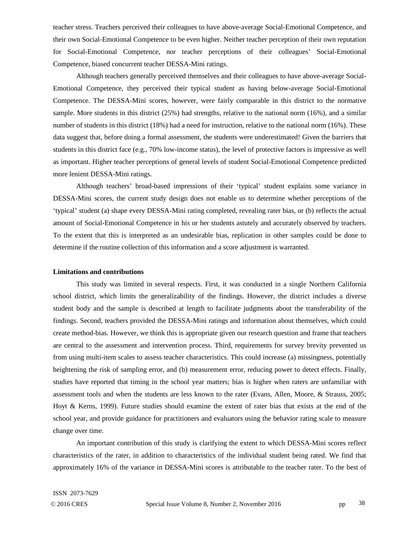teacher stress. Teachers perceived their colleagues to have above-average Social-Emotional Competence, and their own Social-Emotional Competence to be even higher. Neither teacher perception of their own reputation for Social-Emotional Competence, nor teacher perceptions of their colleagues' Social-Emotional Competence, biased concurrent teacher DESSA-Mini ratings.

Although teachers generally perceived themselves and their colleagues to have above-average Social-Emotional Competence, they perceived their typical student as having below-average Social-Emotional Competence. The DESSA-Mini scores, however, were fairly comparable in this district to the normative sample. More students in this district (25%) had strengths, relative to the national norm (16%), and a similar number of students in this district (18%) had a need for instruction, relative to the national norm (16%). These data suggest that, before doing a formal assessment, the students were underestimated! Given the barriers that students in this district face (e.g., 70% low-income status), the level of protective factors is impressive as well as important. Higher teacher perceptions of general levels of student Social-Emotional Competence predicted more lenient DESSA-Mini ratings.

Although teachers' broad-based impressions of their 'typical' student explains some variance in DESSA-Mini scores, the current study design does not enable us to determine whether perceptions of the 'typical' student (a) shape every DESSA-Mini rating completed, revealing rater bias, or (b) reflects the actual amount of Social-Emotional Competence in his or her students astutely and accurately observed by teachers. To the extent that this is interpreted as an undesirable bias, replication in other samples could be done to determine if the routine collection of this information and a score adjustment is warranted.

### **Limitations and contributions**

This study was limited in several respects. First, it was conducted in a single Northern California school district, which limits the generalizability of the findings. However, the district includes a diverse student body and the sample is described at length to facilitate judgments about the transferability of the findings. Second, teachers provided the DESSA-Mini ratings and information about themselves, which could create method-bias. However, we think this is appropriate given our research question and frame that teachers are central to the assessment and intervention process. Third, requirements for survey brevity prevented us from using multi-item scales to assess teacher characteristics. This could increase (a) missingness, potentially heightening the risk of sampling error, and (b) measurement error, reducing power to detect effects. Finally, studies have reported that timing in the school year matters; bias is higher when raters are unfamiliar with assessment tools and when the students are less known to the rater (Evans, Allen, Moore, & Strauss, 2005; Hoyt & Kerns, 1999). Future studies should examine the extent of rater bias that exists at the end of the school year, and provide guidance for practitioners and evaluators using the behavior rating scale to measure change over time.

An important contribution of this study is clarifying the extent to which DESSA-Mini scores reflect characteristics of the rater, in addition to characteristics of the individual student being rated. We find that approximately 16% of the variance in DESSA-Mini scores is attributable to the teacher rater. To the best of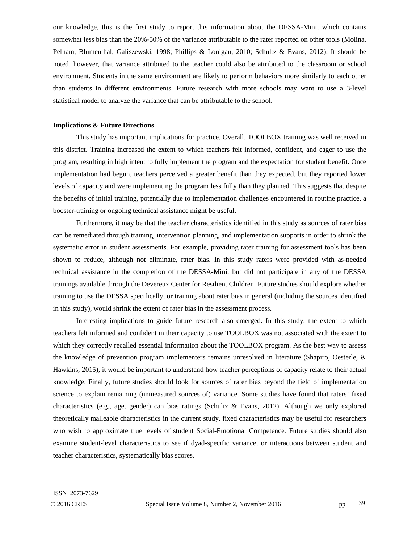our knowledge, this is the first study to report this information about the DESSA-Mini, which contains somewhat less bias than the 20%-50% of the variance attributable to the rater reported on other tools (Molina, Pelham, Blumenthal, Galiszewski, 1998; Phillips & Lonigan, 2010; Schultz & Evans, 2012). It should be noted, however, that variance attributed to the teacher could also be attributed to the classroom or school environment. Students in the same environment are likely to perform behaviors more similarly to each other than students in different environments. Future research with more schools may want to use a 3-level statistical model to analyze the variance that can be attributable to the school.

### **Implications & Future Directions**

This study has important implications for practice. Overall, TOOLBOX training was well received in this district. Training increased the extent to which teachers felt informed, confident, and eager to use the program, resulting in high intent to fully implement the program and the expectation for student benefit. Once implementation had begun, teachers perceived a greater benefit than they expected, but they reported lower levels of capacity and were implementing the program less fully than they planned. This suggests that despite the benefits of initial training, potentially due to implementation challenges encountered in routine practice, a booster-training or ongoing technical assistance might be useful.

Furthermore, it may be that the teacher characteristics identified in this study as sources of rater bias can be remediated through training, intervention planning, and implementation supports in order to shrink the systematic error in student assessments. For example, providing rater training for assessment tools has been shown to reduce, although not eliminate, rater bias. In this study raters were provided with as-needed technical assistance in the completion of the DESSA-Mini, but did not participate in any of the DESSA trainings available through the Devereux Center for Resilient Children. Future studies should explore whether training to use the DESSA specifically, or training about rater bias in general (including the sources identified in this study), would shrink the extent of rater bias in the assessment process.

Interesting implications to guide future research also emerged. In this study, the extent to which teachers felt informed and confident in their capacity to use TOOLBOX was not associated with the extent to which they correctly recalled essential information about the TOOLBOX program. As the best way to assess the knowledge of prevention program implementers remains unresolved in literature (Shapiro, Oesterle, & Hawkins, 2015), it would be important to understand how teacher perceptions of capacity relate to their actual knowledge. Finally, future studies should look for sources of rater bias beyond the field of implementation science to explain remaining (unmeasured sources of) variance. Some studies have found that raters' fixed characteristics (e.g., age, gender) can bias ratings (Schultz & Evans, 2012). Although we only explored theoretically malleable characteristics in the current study, fixed characteristics may be useful for researchers who wish to approximate true levels of student Social-Emotional Competence. Future studies should also examine student-level characteristics to see if dyad-specific variance, or interactions between student and teacher characteristics, systematically bias scores.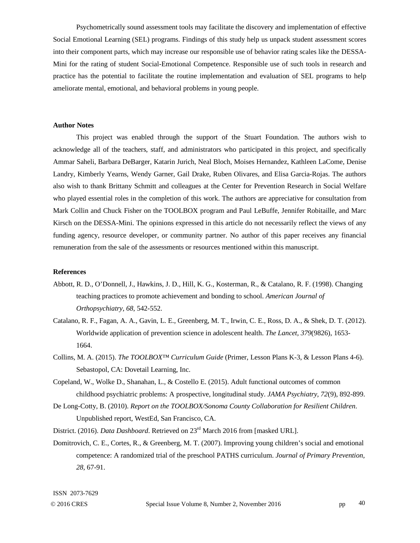Psychometrically sound assessment tools may facilitate the discovery and implementation of effective Social Emotional Learning (SEL) programs. Findings of this study help us unpack student assessment scores into their component parts, which may increase our responsible use of behavior rating scales like the DESSA-Mini for the rating of student Social-Emotional Competence. Responsible use of such tools in research and practice has the potential to facilitate the routine implementation and evaluation of SEL programs to help ameliorate mental, emotional, and behavioral problems in young people.

## **Author Notes**

This project was enabled through the support of the Stuart Foundation. The authors wish to acknowledge all of the teachers, staff, and administrators who participated in this project, and specifically Ammar Saheli, Barbara DeBarger, Katarin Jurich, Neal Bloch, Moises Hernandez, Kathleen LaCome, Denise Landry, Kimberly Yearns, Wendy Garner, Gail Drake, Ruben Olivares, and Elisa Garcia-Rojas. The authors also wish to thank Brittany Schmitt and colleagues at the Center for Prevention Research in Social Welfare who played essential roles in the completion of this work. The authors are appreciative for consultation from Mark Collin and Chuck Fisher on the TOOLBOX program and Paul LeBuffe, Jennifer Robitaille, and Marc Kirsch on the DESSA-Mini. The opinions expressed in this article do not necessarily reflect the views of any funding agency, resource developer, or community partner. No author of this paper receives any financial remuneration from the sale of the assessments or resources mentioned within this manuscript.

# **References**

- Abbott, R. D., O'Donnell, J., Hawkins, J. D., Hill, K. G., Kosterman, R., & Catalano, R. F. (1998). Changing teaching practices to promote achievement and bonding to school. *American Journal of Orthopsychiatry, 68*, 542-552.
- Catalano, R. F., Fagan, A. A., Gavin, L. E., Greenberg, M. T., Irwin, C. E., Ross, D. A., & Shek, D. T. (2012). Worldwide application of prevention science in adolescent health. *The Lancet, 379*(9826), 1653- 1664.
- Collins, M. A. (2015). *The TOOLBOX™ Curriculum Guide* (Primer, Lesson Plans K-3, & Lesson Plans 4-6). Sebastopol, CA: Dovetail Learning, Inc.
- Copeland, W., Wolke D., Shanahan, L., & Costello E. (2015). Adult functional outcomes of common childhood psychiatric problems: A prospective, longitudinal study. *JAMA Psychiatry, 72*(9), 892-899.
- De Long-Cotty, B. (2010). *Report on the TOOLBOX/Sonoma County Collaboration for Resilient Children*. Unpublished report, WestEd, San Francisco, CA.
- District. (2016). *Data Dashboard*. Retrieved on 23<sup>rd</sup> March 2016 from [masked URL].
- Domitrovich, C. E., Cortes, R., & Greenberg, M. T. (2007). Improving young children's social and emotional competence: A randomized trial of the preschool PATHS curriculum. *Journal of Primary Prevention, 28,* 67-91.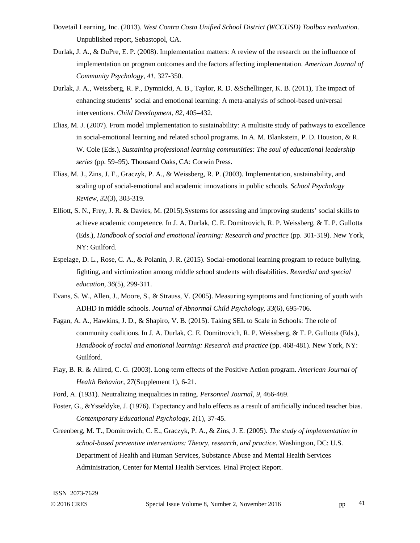- Dovetail Learning, Inc. (2013)*. West Contra Costa Unified School District (WCCUSD) Toolbox evaluation*. Unpublished report, Sebastopol, CA.
- Durlak, J. A., & DuPre, E. P. (2008). Implementation matters: A review of the research on the influence of implementation on program outcomes and the factors affecting implementation. *American Journal of Community Psychology, 41*, 327-350.
- Durlak, J. A., Weissberg, R. P., Dymnicki, A. B., Taylor, R. D. &Schellinger, K. B. (2011), The impact of enhancing students' social and emotional learning: A meta-analysis of school-based universal interventions. *Child Development, 82,* 405–432.
- Elias, M. J. (2007). From model implementation to sustainability: A multisite study of pathways to excellence in social-emotional learning and related school programs. In A. M. Blankstein, P. D. Houston, & R. W. Cole (Eds.), *Sustaining professional learning communities: The soul of educational leadership series* (pp. 59–95). Thousand Oaks, CA: Corwin Press.
- Elias, M. J., Zins, J. E., Graczyk, P. A., & Weissberg, R. P. (2003). Implementation, sustainability, and scaling up of social-emotional and academic innovations in public schools. *School Psychology Review, 32*(3), 303-319.
- Elliott, S. N., Frey, J. R. & Davies, M. (2015).Systems for assessing and improving students' social skills to achieve academic competence. In J. A. Durlak, C. E. Domitrovich, R. P. Weissberg, & T. P. Gullotta (Eds.), *Handbook of social and emotional learning: Research and practice* (pp. 301-319). New York, NY: Guilford.
- Espelage, D. L., Rose, C. A., & Polanin, J. R. (2015). Social-emotional learning program to reduce bullying, fighting, and victimization among middle school students with disabilities. *Remedial and special education, 36*(5), 299-311.
- Evans, S. W., Allen, J., Moore, S., & Strauss, V. (2005). Measuring symptoms and functioning of youth with ADHD in middle schools. *Journal of Abnormal Child Psychology, 33*(6), 695-706.
- Fagan, A. A., Hawkins, J. D., & Shapiro, V. B. (2015). Taking SEL to Scale in Schools: The role of community coalitions. In J. A. Durlak, C. E. Domitrovich, R. P. Weissberg, & T. P. Gullotta (Eds.), *Handbook of social and emotional learning: Research and practice* (pp. 468-481). New York, NY: Guilford.
- Flay, B. R. & Allred, C. G. (2003). Long-term effects of the Positive Action program. *American Journal of Health Behavior, 27*(Supplement 1), 6-21.
- Ford, A. (1931). Neutralizing inequalities in rating. *Personnel Journal, 9*, 466-469.
- Foster, G., &Ysseldyke, J. (1976). Expectancy and halo effects as a result of artificially induced teacher bias. *Contemporary Educational Psychology, 1*(1), 37-45.
- Greenberg, M. T., Domitrovich, C. E., Graczyk, P. A., & Zins, J. E. (2005). *The study of implementation in school-based preventive interventions: Theory, research, and practice*. Washington, DC: U.S. Department of Health and Human Services, Substance Abuse and Mental Health Services Administration, Center for Mental Health Services. Final Project Report.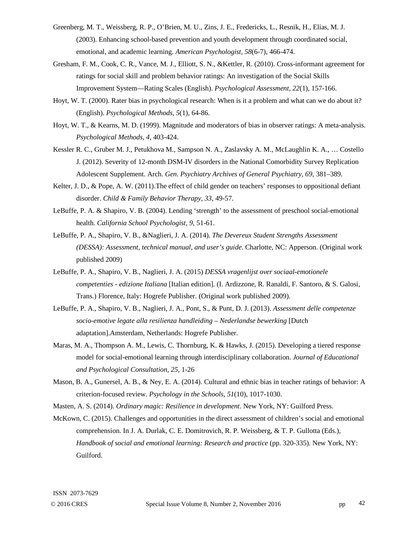- Greenberg, M. T., Weissberg, R. P., O'Brien, M. U., Zins, J. E., Fredericks, L., Resnik, H., Elias, M. J. (2003). Enhancing school-based prevention and youth development through coordinated social, emotional, and academic learning. *American Psychologist, 58*(6-7), 466-474.
- Gresham, F. M., Cook, C. R., Vance, M. J., Elliott, S. N., &Kettler, R. (2010). Cross-informant agreement for ratings for social skill and problem behavior ratings: An investigation of the Social Skills Improvement System—Rating Scales (English). *Psychological Assessment, 22*(1), 157-166.
- Hoyt, W. T. (2000). Rater bias in psychological research: When is it a problem and what can we do about it? (English). *Psychological Methods, 5*(1), 64-86.
- Hoyt, W. T., & Kearns, M. D. (1999). Magnitude and moderators of bias in observer ratings: A meta-analysis. *Psychological Methods, 4*, 403-424.
- Kessler R. C., Gruber M. J., Petukhova M., Sampson N. A., Zaslavsky A. M., McLaughlin K. A., … Costello J. (2012). Severity of 12-month DSM-IV disorders in the National Comorbidity Survey Replication Adolescent Supplement. Arch. *Gen. Psychiatry Archives of General Psychiatry, 69*, 381–389.
- Kelter, J. D., & Pope, A. W. (2011).The effect of child gender on teachers' responses to oppositional defiant disorder. *Child & Family Behavior Therapy, 33*, 49-57.
- LeBuffe, P. A. & Shapiro, V. B. (2004). Lending 'strength' to the assessment of preschool social-emotional health. *California School Psychologist, 9,* 51-61.
- LeBuffe, P. A., Shapiro, V. B., &Naglieri, J. A. (2014). *The Devereux Student Strengths Assessment (DESSA): Assessment, technical manual, and user's guide*. Charlotte, NC: Apperson. (Original work published 2009)
- LeBuffe, P. A., Shapiro, V. B., Naglieri, J. A. (2015) *DESSA vragenlijst over sociaal-emotionele competenties - edizione Italiana* [Italian edition]. (I. Ardizzone, R. Ranaldi, F. Santoro, & S. Galosi, Trans.) Florence, Italy: Hogrefe Publisher. (Original work published 2009).
- LeBuffe, P. A., Shapiro, V. B., Naglieri, J. A., Pont, S., & Punt, D. J. (2013). *Assessment delle competenze socio-emotive legate alla resilienza handleiding* – *Nederlandse bewerking* [Dutch adaptation].Amsterdam, Netherlands: Hogrefe Publisher.
- Maras, M. A., Thompson A. M., Lewis, C. Thornburg, K. & Hawks, J. (2015). Developing a tiered response model for social-emotional learning through interdisciplinary collaboration. *Journal of Educational and Psychological Consultation, 25,* 1-26
- Mason, B. A., Gunersel, A. B., & Ney, E. A. (2014). Cultural and ethnic bias in teacher ratings of behavior: A criterion-focused review. *Psychology in the Schools, 51*(10), 1017-1030.
- Masten, A. S. (2014). *Ordinary magic: Resilience in development*. New York, NY: Guilford Press.
- McKown, C. (2015). Challenges and opportunities in the direct assessment of children's social and emotional comprehension. In J. A. Durlak, C. E. Domitrovich, R. P. Weissberg, & T. P. Gullotta (Eds.), *Handbook of social and emotional learning: Research and practice* (pp. 320-335). New York, NY: Guilford.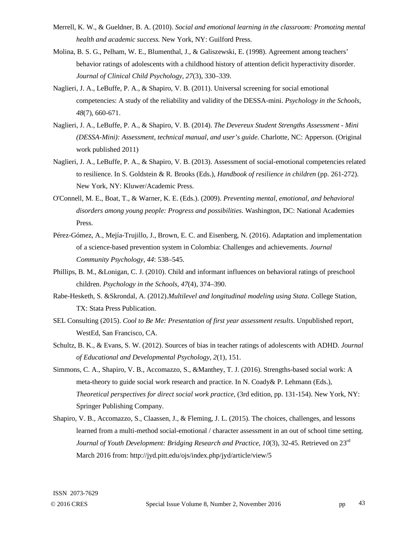- Merrell, K. W., & Gueldner, B. A. (2010). *Social and emotional learning in the classroom: Promoting mental health and academic success.* New York, NY: Guilford Press.
- Molina, B. S. G., Pelham, W. E., Blumenthal, J., & Galiszewski, E. (1998). Agreement among teachers' behavior ratings of adolescents with a childhood history of attention deficit hyperactivity disorder. *Journal of Clinical Child Psychology, 27*(3), 330–339.
- Naglieri, J. A., LeBuffe, P. A., & Shapiro, V. B. (2011). Universal screening for social emotional competencies: A study of the reliability and validity of the DESSA-mini. *Psychology in the Schools, 48*(7), 660-671.
- Naglieri, J. A., LeBuffe, P. A., & Shapiro, V. B. (2014). *The Devereux Student Strengths Assessment Mini (DESSA-Mini): Assessment, technical manual, and user's guide*. Charlotte, NC: Apperson. (Original work published 2011)
- Naglieri, J. A., LeBuffe, P. A., & Shapiro, V. B. (2013). Assessment of social-emotional competencies related to resilience. In S. Goldstein & R. Brooks (Eds.), *Handbook of resilience in children* (pp. 261-272). New York, NY: Kluwer/Academic Press.
- O'Connell, M. E., Boat, T., & Warner, K. E. (Eds.). (2009). *Preventing mental, emotional, and behavioral disorders among young people: Progress and possibilities*. Washington, DC: National Academies Press.
- Pérez-Gómez, A., Mejía-Trujillo, J., Brown, E. C. and Eisenberg, N. (2016). Adaptation and implementation of a science-based prevention system in Colombia: Challenges and achievements. *Journal Community Psychology, 44*: 538–545.
- Phillips, B. M., &Lonigan, C. J. (2010). Child and informant influences on behavioral ratings of preschool children. *Psychology in the Schools, 47*(4), 374–390.
- Rabe-Hesketh, S. &Skrondal, A. (2012).*Multilevel and longitudinal modeling using Stata*. College Station, TX: Stata Press Publication.
- SEL Consulting (2015). *Cool to Be Me: Presentation of first year assessment results*. Unpublished report, WestEd, San Francisco, CA.
- Schultz, B. K., & Evans, S. W. (2012). Sources of bias in teacher ratings of adolescents with ADHD. *Journal of Educational and Developmental Psychology, 2*(1), 151.
- Simmons, C. A., Shapiro, V. B., Accomazzo, S., &Manthey, T. J. (2016). Strengths-based social work: A meta-theory to guide social work research and practice. In N. Coady& P. Lehmann (Eds.), *Theoretical perspectives for direct social work practice*, (3rd edition, pp. 131-154). New York, NY: Springer Publishing Company.
- Shapiro, V. B., Accomazzo, S., Claassen, J., & Fleming, J. L. (2015). The choices, challenges, and lessons learned from a multi-method social-emotional / character assessment in an out of school time setting. *Journal of Youth Development: Bridging Research and Practice, 10*(3), 32-45. Retrieved on 23rd March 2016 from: http://jyd.pitt.edu/ojs/index.php/jyd/article/view/5